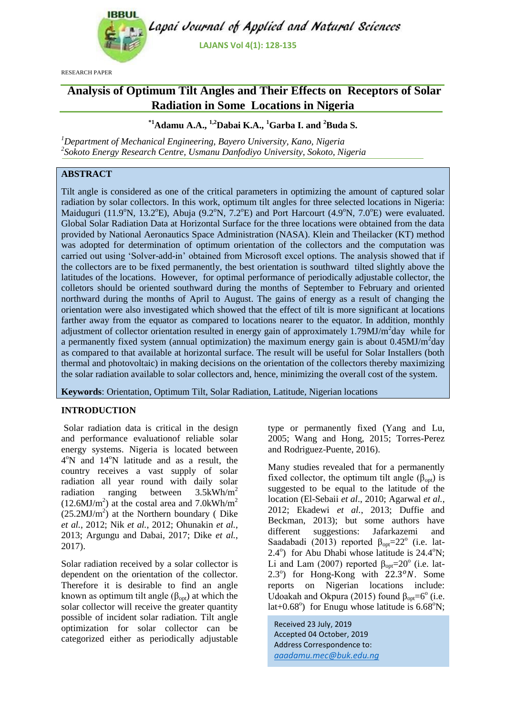

RESEARCH PAPER

# **Analysis of Optimum Tilt Angles and Their Effects on Receptors of Solar Radiation in Some Locations in Nigeria**

# **\*1Adamu A.A., 1,2Dabai K.A., <sup>1</sup>Garba I. and <sup>2</sup>Buda S.**

*<sup>1</sup>Department of Mechanical Engineering, Bayero University, Kano, Nigeria 2 Sokoto Energy Research Centre, Usmanu Danfodiyo University, Sokoto, Nigeria*

# **ABSTRACT**

Tilt angle is considered as one of the critical parameters in optimizing the amount of captured solar radiation by solar collectors. In this work, optimum tilt angles for three selected locations in Nigeria: Maiduguri (11.9 $\textdegree$ N, 13.2 $\textdegree$ E), Abuja (9.2 $\textdegree$ N, 7.2 $\textdegree$ E) and Port Harcourt (4.9 $\textdegree$ N, 7.0 $\textdegree$ E) were evaluated. Global Solar Radiation Data at Horizontal Surface for the three locations were obtained from the data provided by National Aeronautics Space Administration (NASA). Klein and Theilacker (KT) method was adopted for determination of optimum orientation of the collectors and the computation was carried out using "Solver-add-in" obtained from Microsoft excel options. The analysis showed that if the collectors are to be fixed permanently, the best orientation is southward tilted slightly above the latitudes of the locations. However, for optimal performance of periodically adjustable collector, the colletors should be oriented southward during the months of September to February and oriented northward during the months of April to August. The gains of energy as a result of changing the orientation were also investigated which showed that the effect of tilt is more significant at locations farther away from the equator as compared to locations nearer to the equator. In addition, monthly adjustment of collector orientation resulted in energy gain of approximately 1.79MJ/m<sup>2</sup>day while for a permanently fixed system (annual optimization) the maximum energy gain is about 0.45MJ/m<sup>2</sup>day as compared to that available at horizontal surface. The result will be useful for Solar Installers (both thermal and photovoltaic) in making decisions on the orientation of the collectors thereby maximizing the solar radiation available to solar collectors and, hence, minimizing the overall cost of the system.

**Keywords**: Orientation, Optimum Tilt, Solar Radiation, Latitude, Nigerian locations

# **INTRODUCTION**

Solar radiation data is critical in the design and performance evaluationof reliable solar energy systems. Nigeria is located between 4°N and 14°N latitude and as a result, the country receives a vast supply of solar radiation all year round with daily solar radiation ranging between 3.5kWh/m<sup>2</sup>  $(12.6 MJ/m<sup>2</sup>)$  at the costal area and  $7.0kWh/m<sup>2</sup>$  $(25.2 MJ/m<sup>2</sup>)$  at the Northern boundary (Dike *et al.*, 2012; Nik *et al.*, 2012; Ohunakin *et al.*, 2013; Argungu and Dabai, 2017; Dike *et al.*, 2017).

Solar radiation received by a solar collector is dependent on the orientation of the collector. Therefore it is desirable to find an angle known as optimum tilt angle ( $\beta_{opt}$ ) at which the solar collector will receive the greater quantity possible of incident solar radiation. Tilt angle optimization for solar collector can be categorized either as periodically adjustable type or permanently fixed (Yang and Lu, 2005; Wang and Hong, 2015; Torres-Perez and Rodriguez-Puente, 2016).

Many studies revealed that for a permanently fixed collector, the optimum tilt angle  $(\beta_{\text{out}})$  is suggested to be equal to the latitude of the location (El-Sebaii *et al*., 2010; Agarwal *et al.*, 2012; Ekadewi *et al.*, 2013; Duffie and Beckman, 2013); but some authors have different suggestions: Jafarkazemi and Saadabadi (2013) reported  $\beta_{opt} = 22^{\circ}$  (i.e. lat- $2.4^\circ$ ) for Abu Dhabi whose latitude is  $24.4^\circ$ N; Li and Lam (2007) reported  $\beta_{opt} = 20^{\circ}$  (i.e. lat- $2.3^\circ$ ) for Hong-Kong with  $22.3^\circ N$ . Some reports on Nigerian locations include: Udoakah and Okpura (2015) found  $\beta_{opt} = 6^{\circ}$  (i.e. lat+0.68 $^{\circ}$ ) for Enugu whose latitude is 6.68 $^{\circ}$ N;

Received 23 July, 2019 Accepted 04 October, 2019 Address Correspondence to: *aaadamu.mec@buk.edu.ng*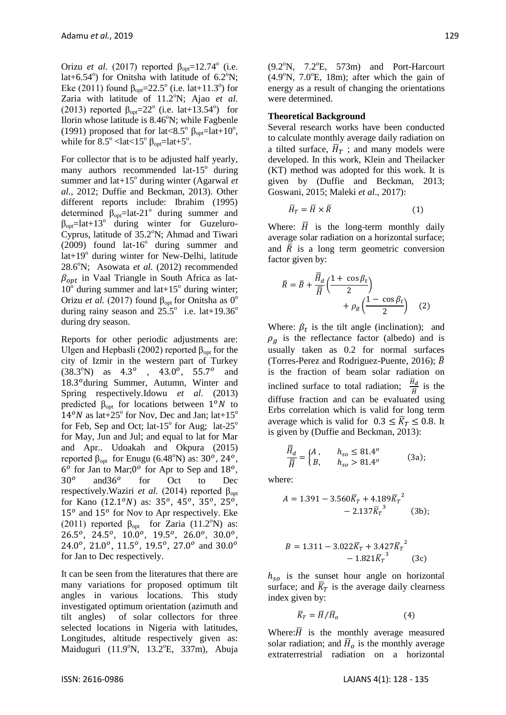Orizu *et al.* (2017) reported  $β<sub>opt</sub>=12.74°$  (i.e. lat+6.54 $^{\circ}$ ) for Onitsha with latitude of 6.2 $^{\circ}$ N; Eke (2011) found  $\beta_{opt} = 22.5^{\circ}$  (i.e. lat+11.3°) for Zaria with latitude of 11.2°N; Ajao et al. (2013) reported  $\beta_{opt} = 22^{\circ}$  (i.e. lat+13.54°) for Ilorin whose latitude is  $8.46^{\circ}$ N; while Fagbenle (1991) proposed that for lat<8.5°  $\beta_{opt}$ =lat+10°, while for  $8.5^{\circ}$  <lat <15°  $\beta_{opt}$ =lat+5°.

For collector that is to be adjusted half yearly, many authors recommended lat- $15^{\circ}$  during summer and lat+15<sup>°</sup> during winter (Agarwal *et al.*, 2012; Duffie and Beckman, 2013). Other different reports include: Ibrahim (1995) determined  $\hat{\beta}_{opt}$ =lat-21<sup>°</sup> during summer and  $\beta_{opt}$ =lat+13<sup>o</sup> during winter for Guzeluro-Cyprus, latitude of  $35.2^{\circ}$ N; Ahmad and Tiwari  $(2009)$  found lat-16 $^{\circ}$  during summer and lat+19<sup>°</sup> during winter for New-Delhi, latitude 28.6°N; Asowata *et al.* (2012) recommended  $\beta_{\text{ont}}$  in Vaal Triangle in South Africa as lat- $10^{\circ}$  during summer and lat+15° during winter; Orizu *et al.* (2017) found  $β<sub>opt</sub>$  for Onitsha as 0<sup>o</sup> during rainy season and  $25.5^{\circ}$  i.e. lat+19.36<sup>o</sup> during dry season.

Reports for other periodic adjustments are: Ulgen and Hepbasli (2002) reported  $β<sub>opt</sub>$  for the city of Izmir in the western part of Turkey  $(38.3°N)$  as  $4.3°$ ,  $43.0°$ ,  $55.7°$  and 18.3<sup>o</sup>during Summer, Autumn, Winter and Spring respectively.Idowu *et al*. (2013) predicted  $\beta_{opt}$  for locations between  $1^{\circ}N$  to  $14<sup>o</sup>N$  as lat+25<sup>o</sup> for Nov, Dec and Jan; lat+15<sup>o</sup> for Feb, Sep and Oct; lat-15 $^{\circ}$  for Aug; lat-25 $^{\circ}$ for May, Jun and Jul; and equal to lat for Mar and Apr.. Udoakah and Okpura (2015) reported  $\beta_{opt}$  for Enugu (6.48°N) as: 30°, 24°,  $6^{\circ}$  for Jan to Mar;  $0^{\circ}$  for Apr to Sep and  $18^{\circ}$ ,  $30^o$ and  $36^{\circ}$ for Oct to Dec respectively. Waziri *et al.* (2014) reported β<sub>opt</sub> for Kano  $(12.1^{\circ}N)$  as:  $35^{\circ}$ ,  $45^{\circ}$ ,  $35^{\circ}$ ,  $25^{\circ}$ ,  $15<sup>o</sup>$  and  $15<sup>o</sup>$  for Nov to Apr respectively. Eke (2011) reported  $\beta_{opt}$  for Zaria (11.2°N) as:  $26.5^o$ ,  $24.5^o$ ,  $10.0^o$ ,  $19.5^o$ ,  $26.0^o$ ,  $30.0^o$ , 24.0°, 21.0°, 11.5°, 19.5°, 27.0° and 30.0° for Jan to Dec respectively.

It can be seen from the literatures that there are many variations for proposed optimum tilt angles in various locations. This study investigated optimum orientation (azimuth and tilt angles) of solar collectors for three selected locations in Nigeria with latitudes, Longitudes, altitude respectively given as: Maiduguri (11.9°N, 13.2°E, 337m), Abuja  $(9.2^{\circ}\text{N}, 7.2^{\circ}\text{E}, 573\text{m})$  and Port-Harcourt  $(4.9°N, 7.0°E, 18m)$ ; after which the gain of energy as a result of changing the orientations were determined.

#### **Theoretical Background**

Several research works have been conducted to calculate monthly average daily radiation on a tilted surface,  $\overline{H}_T$ ; and many models were developed. In this work, Klein and Theilacker (KT) method was adopted for this work. It is given by (Duffie and Beckman, 2013; Goswani, 2015; Maleki *et al*., 2017):

$$
\overline{H}_T = \overline{H} \times \overline{R} \tag{1}
$$

Where:  $\overline{H}$  is the long-term monthly daily average solar radiation on a horizontal surface; and  $\overline{R}$  is a long term geometric conversion factor given by:

$$
\bar{R} = \bar{B} + \frac{\overline{\bar{H}}_d}{\overline{\bar{H}}} \left( \frac{1 + \cos \beta_t}{2} \right) + \rho_g \left( \frac{1 - \cos \beta_t}{2} \right) \quad (2)
$$

Where:  $\beta_t$  is the tilt angle (inclination); and  $\rho_a$  is the reflectance factor (albedo) and is usually taken as 0.2 for normal surfaces (Torres-Perez and Rodriguez-Puente, 2016);  $\overline{B}$ is the fraction of beam solar radiation on inclined surface to total radiation;  $\frac{\overline{H}_d}{\overline{H}}$  is the diffuse fraction and can be evaluated using Erbs correlation which is valid for long term average which is valid for  $0.3 \leq \overline{K}_T \leq 0.8$ . It is given by (Duffie and Beckman, 2013):

$$
\frac{\overline{\overline{H}}_d}{\overline{\overline{H}}} = \begin{cases} A, & h_{so} \le 81.4^{\circ} \\ B, & h_{so} > 81.4^{\circ} \end{cases}
$$
 (3a);

where:

$$
A = 1.391 - 3.560\overline{K}_T + 4.189\overline{K}_T^2 - 2.137\overline{K}_T^3
$$
 (3b);

$$
B = 1.311 - 3.022\overline{K}_T + 3.427\overline{K}_T^2 - 1.821\overline{K}_T^3 \tag{3c}
$$

 $h_{so}$  is the sunset hour angle on horizontal surface; and  $\overline{K}_T$  is the average daily clearness index given by:

$$
\overline{K}_T = \overline{H}/\overline{H}_o \tag{4}
$$

Where: $\overline{H}$  is the monthly average measured solar radiation; and  $\bar{H}_o$  is the monthly average extraterrestrial radiation on a horizontal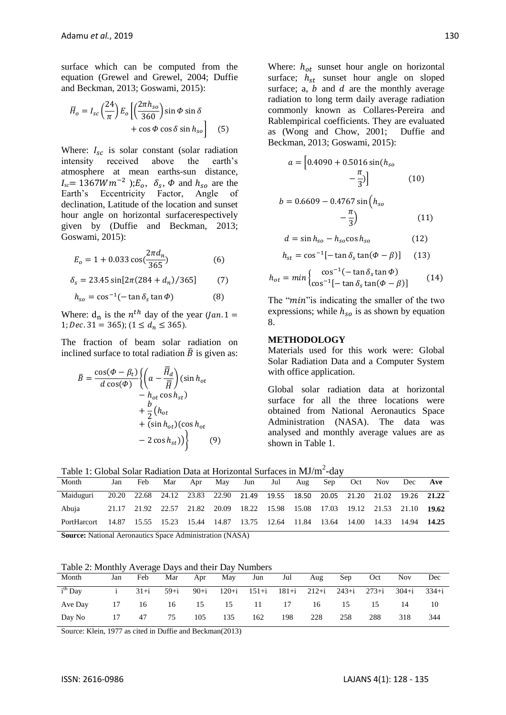surface which can be computed from the equation (Grewel and Grewel, 2004; Duffie and Beckman, 2013; Goswami, 2015):

$$
\overline{H}_o = I_{sc} \left( \frac{24}{\pi} \right) E_o \left[ \left( \frac{2\pi h_{so}}{360} \right) \sin \Phi \sin \delta + \cos \Phi \cos \delta \sin h_{so} \right]
$$
(5)

Where:  $I_{sc}$  is solar constant (solar radiation intensity received above the earth"s atmosphere at mean earths-sun distance,  $I_{sc}$  = 1367*Wm*<sup>-2</sup> ); $E_o$ ,  $\delta_s$ ,  $\Phi$  and  $h_{so}$  are the Earth"s Eccentricity Factor, Angle of declination, Latitude of the location and sunset hour angle on horizontal surfacerespectively given by (Duffie and Beckman, 2013; Goswami, 2015):

$$
E_o = 1 + 0.033 \cos(\frac{2\pi d_n}{365})\tag{6}
$$

$$
\delta_s = 23.45 \sin[2\pi(284 + d_n)/365] \tag{7}
$$

$$
h_{so} = \cos^{-1}(-\tan \delta_s \tan \phi) \tag{8}
$$

Where:  $d_n$  is the  $n^{th}$  day of the year (*J* 1; Dec. 31 = 365);  $(1 \le d_n \le 365)$ .

The fraction of beam solar radiation on inclined surface to total radiation  $\bar{B}$  is given as:

$$
\bar{B} = \frac{\cos(\Phi - \beta_t)}{d\cos(\Phi)} \left\{ \left( a - \frac{\overline{H}_d}{\overline{H}} \right) (\sin h_{ot} - h_{ot} \cos h_{st}) + \frac{b}{2} (h_{ot} + (\sin h_{ot}) (\cos h_{ot} - 2 \cos h_{st})) \right\}
$$
(9)

Where:  $h_{ot}$  sunset hour angle on horizontal surface;  $h_{st}$  sunset hour angle on sloped surface; a,  $b$  and  $d$  are the monthly average radiation to long term daily average radiation commonly known as Collares-Pereira and Rablempirical coefficients. They are evaluated as (Wong and Chow, 2001; Duffie and Beckman, 2013; Goswami, 2015):

$$
a = \left[0.4090 + 0.5016 \sin(h_{so} - \frac{\pi}{3})\right]
$$
 (10)

$$
b = 0.6609 - 0.4767 \sin\left(h_{so} - \frac{\pi}{3}\right) \tag{11}
$$

$$
d = \sin h_{so} - h_{so} \cos h_{so} \tag{12}
$$

$$
h_{st} = \cos^{-1}[-\tan \delta_s \tan(\Phi - \beta)] \quad (13)
$$

$$
h_{ot} = min \begin{cases} \cos^{-1}(-\tan \delta_s \tan \Phi) \\ \cos^{-1}[-\tan \delta_s \tan(\Phi - \beta)] \end{cases}
$$
 (14)

The "*min*" is indicating the smaller of the two expressions; while  $h_{so}$  is as shown by equation 8.

#### **METHODOLOGY**

Materials used for this work were: Global Solar Radiation Data and a Computer System with office application.

Global solar radiation data at horizontal surface for all the three locations were obtained from National Aeronautics Space Administration (NASA). The data was analysed and monthly average values are as shown in Table 1.

Table 1: Global Solar Radiation Data at Horizontal Surfaces in  $MJ/m^2$ -day

| Month       | Jan | Feb | Mar |  | Apr May Jun |                                                                               | Jul | Aug | Sep 3 | Oct | Nov | Dec               | Ave |
|-------------|-----|-----|-----|--|-------------|-------------------------------------------------------------------------------|-----|-----|-------|-----|-----|-------------------|-----|
| Maiduguri   |     |     |     |  |             | 20.20 22.68 24.12 23.83 22.90 21.49 19.55 18.50 20.05 21.20 21.02 19.26 21.22 |     |     |       |     |     |                   |     |
| Abuja       |     |     |     |  |             | 21.17 21.92 22.57 21.82 20.09 18.22 15.98 15.08 17.03 19.12 21.53 21.10 19.62 |     |     |       |     |     |                   |     |
| PortHarcort |     |     |     |  |             | 14.87 15.55 15.23 15.44 14.87 13.75 12.64 11.84 13.64 14.00                   |     |     |       |     |     | 14.33 14.94 14.25 |     |

**Source:** National Aeronautics Space Administration (NASA)

Table 2: Monthly Average Days and their Day Numbers

| Month     | Jan   | Feb           | Mar | Apr | May            | Jun | Jul | Aug | Sep | Oct | <b>Nov</b>                                           | Dec |
|-----------|-------|---------------|-----|-----|----------------|-----|-----|-----|-----|-----|------------------------------------------------------|-----|
| $ith$ Day |       | i $31+i$ 59+i |     |     |                |     |     |     |     |     | 90+i 120+i 151+i 181+i 212+i 243+i 273+i 304+i 334+i |     |
| Ave Day   | 17 16 |               |     |     | 16 15 15 11 17 |     |     | 16  | 15  | 15  | 14                                                   | 10  |
| Day No    | 17    | 47            | 75  | 105 | 135            | 162 | 198 | 228 | 258 | 288 | 318                                                  | 344 |

Source: Klein, 1977 as cited in Duffie and Beckman(2013)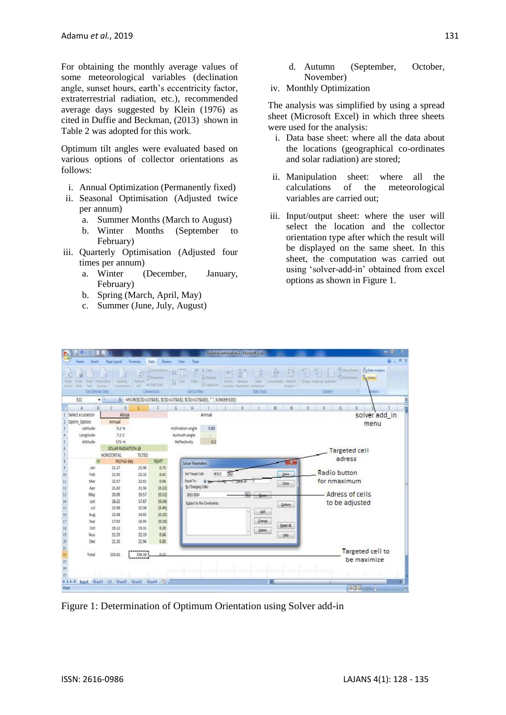For obtaining the monthly average values of some meteorological variables (declination angle, sunset hours, earth's eccentricity factor, extraterrestrial radiation, etc.), recommended average days suggested by Klein (1976) as cited in Duffie and Beckman, (2013) shown in Table 2 was adopted for this work.

Optimum tilt angles were evaluated based on various options of collector orientations as follows:

- i. Annual Optimization (Permanently fixed)
- ii. Seasonal Optimisation (Adjusted twice per annum)
	- a. Summer Months (March to August)
	- b. Winter Months (September to February)
- iii. Quarterly Optimisation (Adjusted four times per annum)
	- a. Winter (December, January, February)
	- b. Spring (March, April, May)
	- c. Summer (June, July, August)
- d. Autumn (September, October, November)
- iv. Monthly Optimization

The analysis was simplified by using a spread sheet (Microsoft Excel) in which three sheets were used for the analysis:

- i. Data base sheet: where all the data about the locations (geographical co-ordinates and solar radiation) are stored;
- ii. Manipulation sheet: where all the calculations of the meteorological variables are carried out;
- iii. Input/output sheet: where the user will select the location and the collector orientation type after which the result will be displayed on the same sheet. In this sheet, the computation was carried out using "solver-add-in" obtained from excel options as shown in Figure 1.

| Nп<br><b>LOWEL</b>       | <b>Taratter</b><br>Cennurchomi<br><b>Sources</b> | ø<br><b>Ityhein</b><br>air' | Catmethano<br>W. Postertian<br>and \$100 Europe | 年間<br>11 100<br>TIII                                                    | <b>Ya Respons</b><br>Vision | Text tir<br>firmore<br>Column<br>Dusticabel <sup>1</sup> | Data          | <b>VM</b><br>Constitute Ishard | <b><i><u>Grafyin</u></i></b> | Great Ungroup Subtistal |         | <b>PESICO DISAN PEDIA ANAVOL</b><br>and may be | 2 <sub>0</sub> Salem |  |
|--------------------------|--------------------------------------------------|-----------------------------|-------------------------------------------------|-------------------------------------------------------------------------|-----------------------------|----------------------------------------------------------|---------------|--------------------------------|------------------------------|-------------------------|---------|------------------------------------------------|----------------------|--|
| Get External Data<br>622 | $+11$                                            |                             | Connections                                     | A == IF(OR/SCS1=LO/SAS1, SCS1=LO/SAS2, SCS1=LO/SAS3), " ", SUM/ER:E20)) | Sort & Fifter               |                                                          | Dista Tools   |                                |                              |                         | Outline |                                                | hallytin             |  |
| B.                       | c<br>ō                                           |                             |                                                 | H<br>G                                                                  |                             |                                                          |               | M                              |                              |                         |         | ā                                              |                      |  |
| Select a Location        | Abula                                            |                             |                                                 |                                                                         | Annual                      |                                                          |               |                                |                              |                         |         |                                                | solver add_in        |  |
| Optim_Option             | Annual                                           |                             |                                                 |                                                                         |                             |                                                          |               |                                |                              |                         |         |                                                | menu                 |  |
| Lititude                 | 9.2 N                                            |                             |                                                 | Inclination angle                                                       | 5.00                        |                                                          |               |                                |                              |                         |         |                                                |                      |  |
| Longitude                | 7.2 E                                            |                             |                                                 | Azimuth angle                                                           | ä.                          |                                                          |               |                                |                              |                         |         |                                                |                      |  |
| Altitude                 | 573 m                                            |                             |                                                 | Reflectivity                                                            | 0.2                         |                                                          |               |                                |                              |                         |         |                                                |                      |  |
|                          | SOLAR RADIATION @                                |                             |                                                 |                                                                         |                             |                                                          |               |                                |                              |                         |         | Targeted cell                                  |                      |  |
|                          | HORIZONTAL                                       | TILTED                      |                                                 |                                                                         |                             |                                                          |               |                                |                              |                         |         | adress                                         |                      |  |
|                          | Mi/m2-day                                        |                             | <b>Spitt</b>                                    |                                                                         | <b>Solver Parameters</b>    |                                                          |               |                                |                              |                         |         |                                                |                      |  |
| Jan                      | 21.17                                            | 21.90                       | 0.73                                            |                                                                         | Set Target Cell:<br>95322   |                                                          |               |                                | Salve                        |                         |         | Radio button                                   |                      |  |
| Feb                      | 21.92                                            | 22.33                       | 0.41                                            |                                                                         |                             |                                                          |               |                                |                              |                         |         |                                                |                      |  |
| Mar                      | 22.57<br>21.82                                   | 22.61<br>21.50              | 0.04                                            | Equal To:                                                               | By Changing Cells:          |                                                          |               |                                | Close                        |                         |         | for nmaximum                                   |                      |  |
| Apr<br>May               | 20.09                                            | 19.57                       | (0.32)<br>(0.52)                                | 493-009                                                                 |                             |                                                          |               |                                |                              |                         |         | Adress of cells                                |                      |  |
| Jun.                     | 18.22                                            | 17.67                       | (0.54)                                          |                                                                         |                             |                                                          |               |                                |                              |                         |         |                                                |                      |  |
| Jul                      | 15.98                                            | 15.58                       | [0.40]                                          |                                                                         | Subject to the Constraints: |                                                          |               |                                | Options.                     |                         |         | to be adjusted                                 |                      |  |
| Aug                      | 15.08                                            | 14.83                       | (0.25)                                          |                                                                         |                             |                                                          | add           |                                |                              |                         |         |                                                |                      |  |
| Sep                      | 17.03                                            | 16.93                       | (0.10)                                          |                                                                         |                             |                                                          | <b>Owner</b>  |                                |                              |                         |         |                                                |                      |  |
| Oct                      | 19.12                                            | 19.31                       | 0.20                                            |                                                                         |                             |                                                          |               |                                | Reset All                    |                         |         |                                                |                      |  |
| Nov                      | 31.53                                            | 22.15                       | 0.66                                            |                                                                         |                             |                                                          | <b>Quiete</b> |                                | tinio                        |                         |         |                                                |                      |  |
| Dec                      | 21.10                                            | 21.94                       | 0.85                                            |                                                                         |                             |                                                          |               |                                |                              |                         |         |                                                |                      |  |
|                          |                                                  |                             |                                                 |                                                                         |                             |                                                          |               |                                |                              |                         |         |                                                |                      |  |
| Total                    | 235.62                                           | ******<br>236.38            | 0.37                                            |                                                                         |                             |                                                          |               |                                |                              |                         |         |                                                | Targeted cell to     |  |
|                          |                                                  |                             |                                                 |                                                                         |                             |                                                          |               |                                |                              |                         |         |                                                | be maximize          |  |
|                          |                                                  |                             |                                                 |                                                                         |                             |                                                          |               |                                |                              |                         |         |                                                |                      |  |

Figure 1: Determination of Optimum Orientation using Solver add-in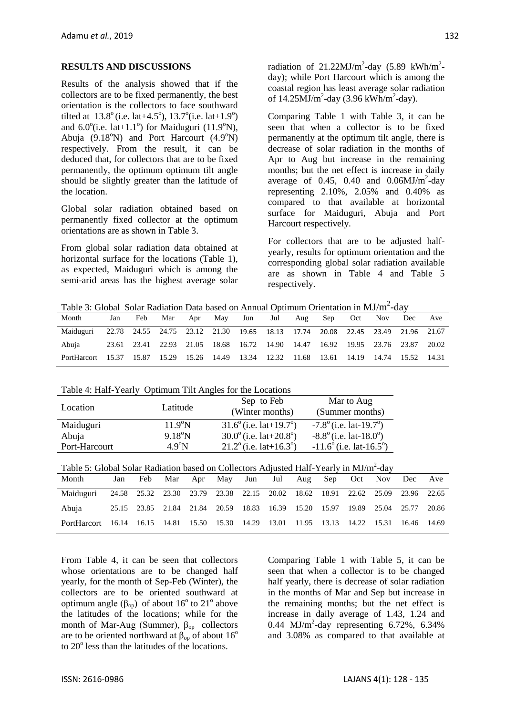#### **RESULTS AND DISCUSSIONS**

Results of the analysis showed that if the collectors are to be fixed permanently, the best orientation is the collectors to face southward tilted at  $13.8^{\circ}$  (i.e. lat $+4.5^{\circ}$ ),  $13.7^{\circ}$  (i.e. lat $+1.9^{\circ}$ ) and  $6.0^{\circ}$ (i.e. lat+1.1°) for Maiduguri (11.9°N), Abuja  $(9.18^{\circ}N)$  and Port Harcourt  $(4.9^{\circ}N)$ respectively. From the result, it can be deduced that, for collectors that are to be fixed permanently, the optimum optimum tilt angle should be slightly greater than the latitude of the location.

Global solar radiation obtained based on permanently fixed collector at the optimum orientations are as shown in Table 3.

From global solar radiation data obtained at horizontal surface for the locations (Table 1), as expected, Maiduguri which is among the semi-arid areas has the highest average solar radiation of  $21.22 \text{MJ/m}^2$ -day (5.89 kWh/m<sup>2</sup>day); while Port Harcourt which is among the coastal region has least average solar radiation of  $14.25 \text{MJ/m}^2$ -day (3.96 kWh/m<sup>2</sup>-day).

Comparing Table 1 with Table 3, it can be seen that when a collector is to be fixed permanently at the optimum tilt angle, there is decrease of solar radiation in the months of Apr to Aug but increase in the remaining months; but the net effect is increase in daily average of 0.45, 0.40 and  $0.06 MJ/m^2$ -day representing 2.10%, 2.05% and 0.40% as compared to that available at horizontal surface for Maiduguri, Abuja and Port Harcourt respectively.

For collectors that are to be adjusted halfyearly, results for optimum orientation and the corresponding global solar radiation available are as shown in Table 4 and Table 5 respectively.

Table 3: Global Solar Radiation Data based on Annual Optimum Orientation in  $MJ/m^2$ -day

| Month                                                                                     | Jan | Feb | Mar |  | Apr May Jun Jul Aug Sep Oct Nov                                               |  |  | Dec | Ave |
|-------------------------------------------------------------------------------------------|-----|-----|-----|--|-------------------------------------------------------------------------------|--|--|-----|-----|
| Maiduguri 22.78 24.55 24.75 23.12 21.30 19.65 18.13 17.74 20.08 22.45 23.49 21.96 21.67   |     |     |     |  |                                                                               |  |  |     |     |
| Abuja                                                                                     |     |     |     |  | 23.61 23.41 22.93 21.05 18.68 16.72 14.90 14.47 16.92 19.95 23.76 23.87 20.02 |  |  |     |     |
| PortHarcort 15.37 15.87 15.29 15.26 14.49 13.34 12.32 11.68 13.61 14.19 14.74 15.52 14.31 |     |     |     |  |                                                                               |  |  |     |     |

| Table 4: Half-Yearly Optimum Tilt Angles for the Locations |  |
|------------------------------------------------------------|--|
|                                                            |  |

| Location      | Latitude         | Sep to Feb<br>(Winter months)                | Mar to Aug<br>(Summer months)    |
|---------------|------------------|----------------------------------------------|----------------------------------|
| Maiduguri     | $11.9^{\circ}$ N | $31.6^{\circ}$ (i.e. lat+19.7°)              | $-7.8^\circ$ (i.e. lat-19.7°)    |
| Abuja         | $9.18^{\circ}$ N | $30.0^{\circ}$ (i.e. lat+20.8 <sup>o</sup> ) | $-8.8^\circ$ (i.e. lat-18.0°)    |
| Port-Harcourt | $4.9^{\circ}N$   | $21.2^{\circ}$ (i.e. lat+16.3°)              | $-11.6^{\circ}$ (i.e. lat-16.5°) |

| Table 5: Global Solar Radiation based on Collectors Adjusted Half-Yearly in MJ/m <sup>2</sup> -day |  |  |  |  |
|----------------------------------------------------------------------------------------------------|--|--|--|--|
|                                                                                                    |  |  |  |  |

| Month                                                                                     |  | Jan Feb Mar Apr May Jun Jul Aug Sep Oct Nov Dec Ave                           |  |  |  |  |  |
|-------------------------------------------------------------------------------------------|--|-------------------------------------------------------------------------------|--|--|--|--|--|
| Maiduguri 24.58 25.32 23.30 23.79 23.38 22.15 20.02 18.62 18.91 22.62 25.09 23.96 22.65   |  |                                                                               |  |  |  |  |  |
| Abuja                                                                                     |  | 25.15 23.85 21.84 21.84 20.59 18.83 16.39 15.20 15.97 19.89 25.04 25.77 20.86 |  |  |  |  |  |
| PortHarcort 16.14 16.15 14.81 15.50 15.30 14.29 13.01 11.95 13.13 14.22 15.31 16.46 14.69 |  |                                                                               |  |  |  |  |  |

From Table 4, it can be seen that collectors whose orientations are to be changed half yearly, for the month of Sep-Feb (Winter), the collectors are to be oriented southward at optimum angle ( $β<sub>op</sub>$ ) of about 16<sup>°</sup> to 21<sup>°</sup> above the latitudes of the locations; while for the month of Mar-Aug (Summer),  $\beta_{op}$  collectors are to be oriented northward at  $\beta_{op}$  of about 16<sup>o</sup> to 20<sup>°</sup> less than the latitudes of the locations.

Comparing Table 1 with Table 5, it can be seen that when a collector is to be changed half yearly, there is decrease of solar radiation in the months of Mar and Sep but increase in the remaining months; but the net effect is increase in daily average of 1.43, 1.24 and 0.44 MJ/m<sup>2</sup>-day representing  $6.72\%$ ,  $6.34\%$ and 3.08% as compared to that available at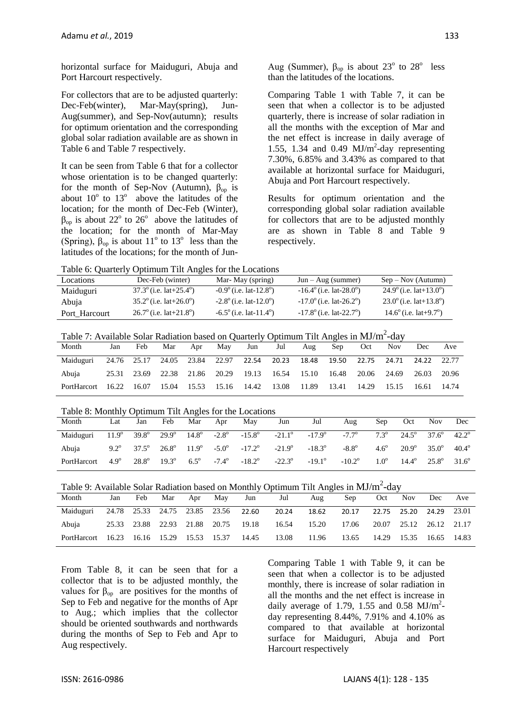horizontal surface for Maiduguri, Abuja and Port Harcourt respectively.

For collectors that are to be adjusted quarterly: Dec-Feb(winter), Mar-May(spring), Jun-Aug(summer), and Sep-Nov(autumn); results for optimum orientation and the corresponding global solar radiation available are as shown in Table 6 and Table 7 respectively.

It can be seen from Table 6 that for a collector whose orientation is to be changed quarterly: for the month of Sep-Nov (Autumn),  $\beta_{op}$  is about  $10^{\circ}$  to  $13^{\circ}$  above the latitudes of the location; for the month of Dec-Feb (Winter),  $\beta_{op}$  is about 22<sup>o</sup> to 26<sup>o</sup> above the latitudes of the location; for the month of Mar-May (Spring),  $\beta_{op}$  is about 11<sup>°</sup> to 13<sup>°</sup> less than the latitudes of the locations; for the month of JunAug (Summer),  $\beta_{op}$  is about 23<sup>°</sup> to 28<sup>°</sup> less than the latitudes of the locations.

Comparing Table 1 with Table 7, it can be seen that when a collector is to be adjusted quarterly, there is increase of solar radiation in all the months with the exception of Mar and the net effect is increase in daily average of 1.55, 1.34 and 0.49  $MJ/m^2$ -day representing 7.30%, 6.85% and 3.43% as compared to that available at horizontal surface for Maiduguri, Abuja and Port Harcourt respectively.

Results for optimum orientation and the corresponding global solar radiation available for collectors that are to be adjusted monthly are as shown in Table 8 and Table 9 respectively.

Table 6: Quarterly Optimum Tilt Angles for the Locations

| ------ -- ---------- |                                            |                                            |                                               |                                           |
|----------------------|--------------------------------------------|--------------------------------------------|-----------------------------------------------|-------------------------------------------|
| Locations            | Dec-Feb (winter)                           | Mar-May (spring)                           | $Jun - Aug$ (summer)                          | $Sep - Nov (Autumn)$                      |
| Maiduguri            | $37.3^{\circ}$ (i.e. lat $+25.4^{\circ}$ ) | $-0.9^\circ$ (i.e. lat-12.8 <sup>o</sup> ) | $-16.4^{\circ}$ (i.e. lat-28.0 <sup>o</sup> ) | $24.9^\circ$ (i.e. lat+13.0°)             |
| Abuja                | $35.2^{\circ}$ (i.e. lat $+26.0^{\circ}$ ) | $-2.8^\circ$ (i.e. lat-12.0°)              | $-17.0^{\circ}$ (i.e. lat-26.2°)              | $23.0^{\circ}$ (i.e. lat+13.8°)           |
| Port Harcourt        | $26.7^{\circ}$ (i.e. lat $+21.8^{\circ}$ ) | $-6.5^{\circ}$ (i.e. lat-11.4°)            | $-17.8^{\circ}$ (i.e. lat-22.7°)              | $14.6^{\circ}$ (i.e. lat $+9.7^{\circ}$ ) |

Table 7: Available Solar Radiation based on Quarterly Optimum Tilt Angles in  $MJ/m^2$ -day

| Month                                                             | Jan | Feb | Mar | Apr | May | Jun                                                                     | Jul | Aug | Sep | Oct         | <b>Nov</b>                 | Dec   | Ave     |
|-------------------------------------------------------------------|-----|-----|-----|-----|-----|-------------------------------------------------------------------------|-----|-----|-----|-------------|----------------------------|-------|---------|
| Maiduguri                                                         |     |     |     |     |     | 24.76 25.17 24.05 23.84 22.97 22.54 20.23                               |     |     |     |             | 18.48  19.50  22.75  24.71 | 24.22 | 22.77   |
| Abuja                                                             |     |     |     |     |     | 25.31 23.69 22.38 21.86 20.29 19.13 16.54 15.10 16.48 20.06 24.69 26.03 |     |     |     |             |                            |       | 20.96   |
| PortHarcort 16.22 16.07 15.04 15.53 15.16 14.42 13.08 11.89 13.41 |     |     |     |     |     |                                                                         |     |     |     | 14.29 15.15 |                            | 16.61 | - 14.74 |

#### Table 8: Monthly Optimum Tilt Angles for the Locations

| Month       | Lat         | Jan | Feb                  | Mar | Apr | May | Jun                                                                                                                                      | Jul | Aug                             | Sep         | Oct                                                        | <b>Nov</b>     | Dec            |
|-------------|-------------|-----|----------------------|-----|-----|-----|------------------------------------------------------------------------------------------------------------------------------------------|-----|---------------------------------|-------------|------------------------------------------------------------|----------------|----------------|
| Maiduguri   |             |     |                      |     |     |     | $11.9^{\circ}$ 39.8° $29.9^{\circ}$ 14.8° $-2.8^{\circ}$ $-15.8^{\circ}$ $-21.1^{\circ}$ $-17.9^{\circ}$ $-7.7^{\circ}$                  |     |                                 |             | $7.3^{\circ}$ $24.5^{\circ}$ $37.6^{\circ}$ $42.2^{\circ}$ |                |                |
| Abuia       |             |     |                      |     |     |     | $9.2^{\circ}$ $37.5^{\circ}$ $26.8^{\circ}$ $11.9^{\circ}$ $-5.0^{\circ}$ $-17.2^{\circ}$ $-21.9^{\circ}$ $-18.3^{\circ}$ $-8.8^{\circ}$ |     |                                 |             | $4.6^{\circ}$ $20.9^{\circ}$ $35.0^{\circ}$ $40.4^{\circ}$ |                |                |
| PortHarcort | $4.9^\circ$ |     | $28.8^{\circ}$ 19.3° |     |     |     | $6.5^{\circ}$ $-7.4^{\circ}$ $-18.2^{\circ}$ $-22.3^{\circ}$                                                                             |     | $-19.1^{\circ}$ $-10.2^{\circ}$ | $1.0^\circ$ | $14.4^\circ$                                               | $25.8^{\circ}$ | $31.6^{\circ}$ |

Table 9: Available Solar Radiation based on Monthly Optimum Tilt Angles in  $MJ/m^2$ -day

| Month       | Jan   | Feb | Mar | Apr                     | May                                 | Jun   | Jul   | Aug   | Sep   | Oct                     | <b>Nov</b>              | Dec         | Ave |
|-------------|-------|-----|-----|-------------------------|-------------------------------------|-------|-------|-------|-------|-------------------------|-------------------------|-------------|-----|
| Maiduguri   |       |     |     |                         | 24.78 25.33 24.75 23.85 23.56 22.60 |       | 20.24 | 18.62 | 20.17 | 22.75 25.20 24.29 23.01 |                         |             |     |
| Abuja       |       |     |     |                         | 25.33 23.88 22.93 21.88 20.75 19.18 |       | 16.54 | 15.20 | 17.06 |                         | 20.07 25.12 26.12 21.17 |             |     |
| PortHarcort | 16.23 |     |     | 16.16 15.29 15.53 15.37 |                                     | 14.45 | 13.08 | 11.96 | 13.65 | 14.29                   | 15.35                   | 16.65 14.83 |     |

From Table 8, it can be seen that for a collector that is to be adjusted monthly, the values for  $β<sub>op</sub>$  are positives for the months of Sep to Feb and negative for the months of Apr to Aug.; which implies that the collector should be oriented southwards and northwards during the months of Sep to Feb and Apr to Aug respectively.

Comparing Table 1 with Table 9, it can be seen that when a collector is to be adjusted monthly, there is increase of solar radiation in all the months and the net effect is increase in daily average of 1.79, 1.55 and  $0.58$  MJ/m<sup>2</sup>day representing 8.44%, 7.91% and 4.10% as compared to that available at horizontal surface for Maiduguri, Abuja and Port Harcourt respectively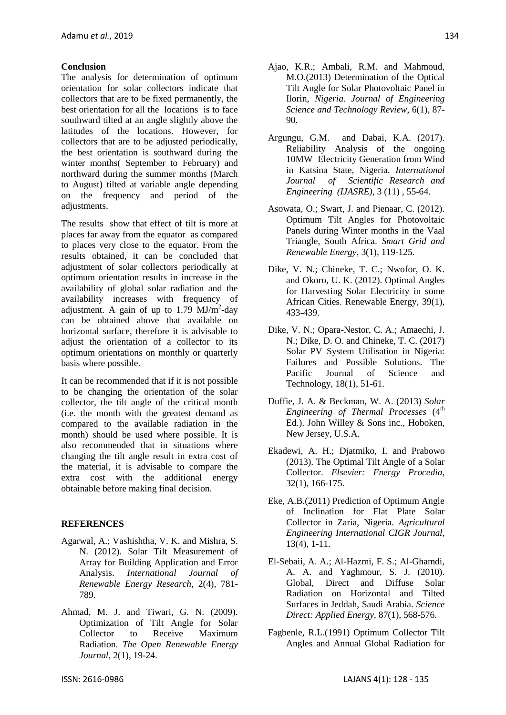### **Conclusion**

The analysis for determination of optimum orientation for solar collectors indicate that collectors that are to be fixed permanently, the best orientation for all the locations is to face southward tilted at an angle slightly above the latitudes of the locations. However, for collectors that are to be adjusted periodically, the best orientation is southward during the winter months( September to February) and northward during the summer months (March to August) tilted at variable angle depending on the frequency and period of the adjustments.

The results show that effect of tilt is more at places far away from the equator as compared to places very close to the equator. From the results obtained, it can be concluded that adjustment of solar collectors periodically at optimum orientation results in increase in the availability of global solar radiation and the availability increases with frequency of adjustment. A gain of up to  $1.79$  MJ/m<sup>2</sup>-day can be obtained above that available on horizontal surface, therefore it is advisable to adjust the orientation of a collector to its optimum orientations on monthly or quarterly basis where possible.

It can be recommended that if it is not possible to be changing the orientation of the solar collector, the tilt angle of the critical month (i.e. the month with the greatest demand as compared to the available radiation in the month) should be used where possible. It is also recommended that in situations where changing the tilt angle result in extra cost of the material, it is advisable to compare the extra cost with the additional energy obtainable before making final decision.

# **REFERENCES**

- Agarwal, A.; Vashishtha, V. K. and Mishra, S. N. (2012). Solar Tilt Measurement of Array for Building Application and Error Analysis. *International Journal of Renewable Energy Research*, 2(4), 781- 789.
- Ahmad, M. J. and Tiwari, G. N. (2009). Optimization of Tilt Angle for Solar Collector to Receive Maximum Radiation. *The Open Renewable Energy Journal*, 2(1), 19-24.
- Ajao, K.R.; Ambali, R.M. and Mahmoud, M.O.(2013) Determination of the Optical Tilt Angle for Solar Photovoltaic Panel in Ilorin, *Nigeria. Journal of Engineering Science and Technology Review*, 6(1), 87- 90.
- Argungu, G.M. and Dabai, K.A. (2017). Reliability Analysis of the ongoing 10MW Electricity Generation from Wind in Katsina State, Nigeria. *International Journal of Scientific Research and Engineering (IJASRE)*, 3 (11) , 55-64.
- Asowata, O.; Swart, J. and Pienaar, C. (2012). Optimum Tilt Angles for Photovoltaic Panels during Winter months in the Vaal Triangle, South Africa. *Smart Grid and Renewable Energy*, 3(1), 119-125.
- Dike, V. N.; Chineke, T. C.; Nwofor, O. K. and Okoro, U. K. (2012). Optimal Angles for Harvesting Solar Electricity in some African Cities. Renewable Energy, 39(1), 433-439.
- Dike, V. N.; Opara-Nestor, C. A.; Amaechi, J. N.; Dike, D. O. and Chineke, T. C. (2017) Solar PV System Utilisation in Nigeria: Failures and Possible Solutions. The Pacific Journal of Science and Technology, 18(1), 51-61.
- Duffie, J. A. & Beckman, W. A. (2013) *Solar Engineering of Thermal Processes* (4<sup>th</sup>) Ed.). John Willey & Sons inc., Hoboken, New Jersey, U.S.A.
- Ekadewi, A. H.; Djatmiko, I. and Prabowo (2013). The Optimal Tilt Angle of a Solar Collector. *Elsevier: Energy Procedia*, 32(1), 166-175.
- Eke, A.B.(2011) Prediction of Optimum Angle of Inclination for Flat Plate Solar Collector in Zaria, Nigeria. *Agricultural Engineering International CIGR Journal*, 13(4), 1-11.
- El-Sebaii, A. A.; Al-Hazmi, F. S.; Al-Ghamdi, A. A. and Yaghmour, S. J. (2010). Global, Direct and Diffuse Solar Radiation on Horizontal and Tilted Surfaces in Jeddah, Saudi Arabia. *Science Direct: Applied Energy,* 87(1), 568-576.
- Fagbenle, R.L.(1991) Optimum Collector Tilt Angles and Annual Global Radiation for